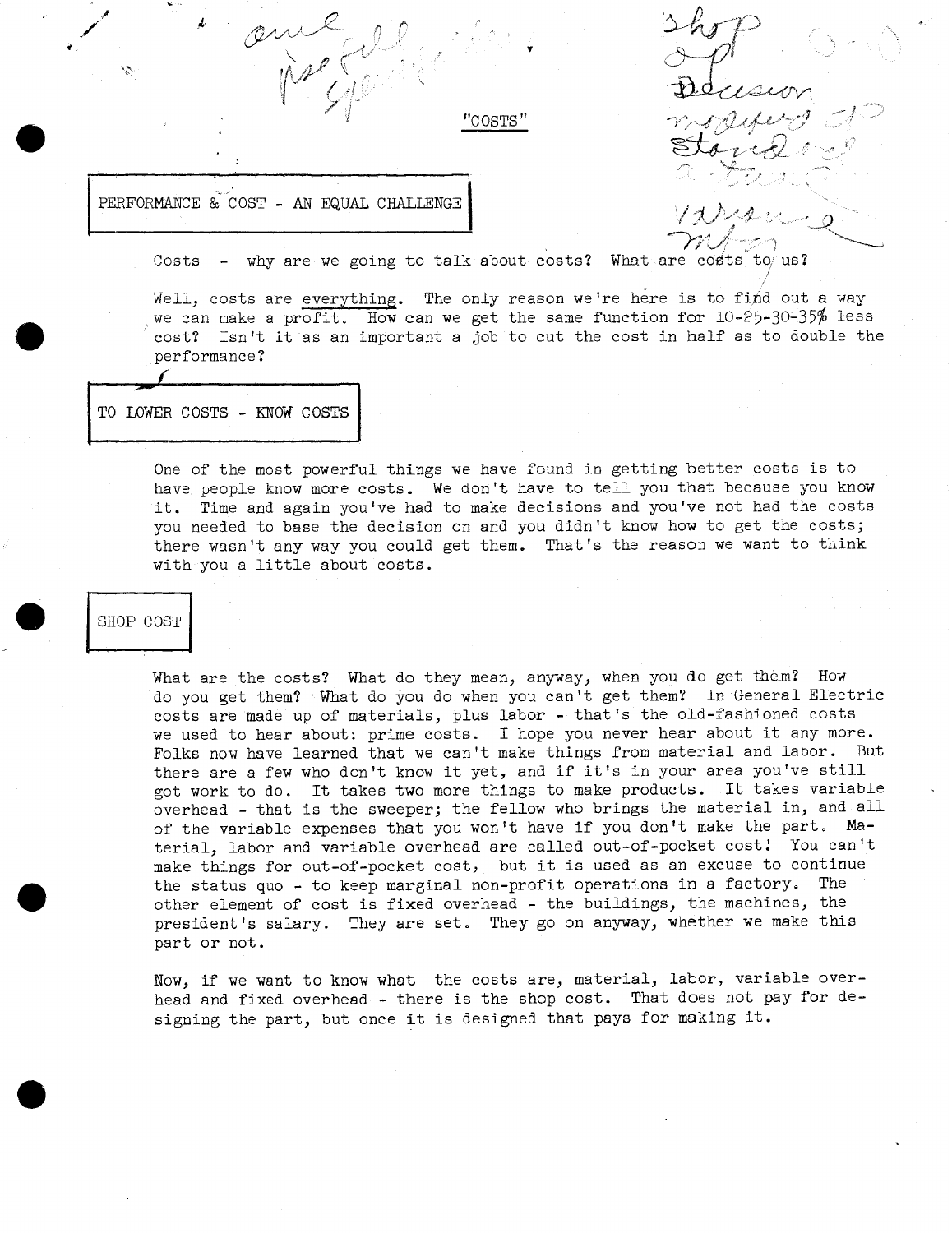PERFORMANCE & COST - AN EQUAL CHALLENGE

Costs - why are we going to talk about costs? What are costs to us?

"COSTS"

Well, costs are everything. The only reason we're here is to find out a way we can make a profit. How can we get the same function for 10-25-30-35% less cost? Isn't it as an important a job to cut the cost in half as to double the performance?

TO LOWER COSTS - KNOW COSTS

One of the most powerful things we have found in getting better costs is to have people know more costs. We don't have to tell you that because you know it. Time and again you've had to make decisions and you've not had the costs you needed to base the decision on and you didn't know how to get the costs; there wasn't any way you could get them. That's the reason we want to think with you a little about costs.

# SHOP COST

What are the costs? What do they mean, anyway, when you do get them? How do you get them? What do you do when you can't get them? In General Electric costs are made up of materials, plus labor - that's the old-fashioned costs we used to hear about: prime costs. I hope you never hear about it any more. Folks now have learned that we can't make things from material and labor. But there are a few who don't know it yet, and if it's in your area you've still got work to do. It takes two more things to make products. It takes variable overhead - that is the sweeper; the fellow who brings the material in, and all of the variable expenses that you won't have if you don't make the part, **Ma**terial, labor and variable overhead are called out-of-pocket cost! You can't make things for out-of-pocket cost, but it is used as an excuse to continue the status quo - to keep marginal non-profit operations in a factory. The other element of cost is fixed overhead - the buildings, the machines, the president's salary. They are set. They go on anyway, whether we make this part or not.

Now, if we want to know what the costs are, material, labor, variable overhead and fixed overhead - there is the shop cost. That does not pay for designing the part, but once it is designed that pays for making it.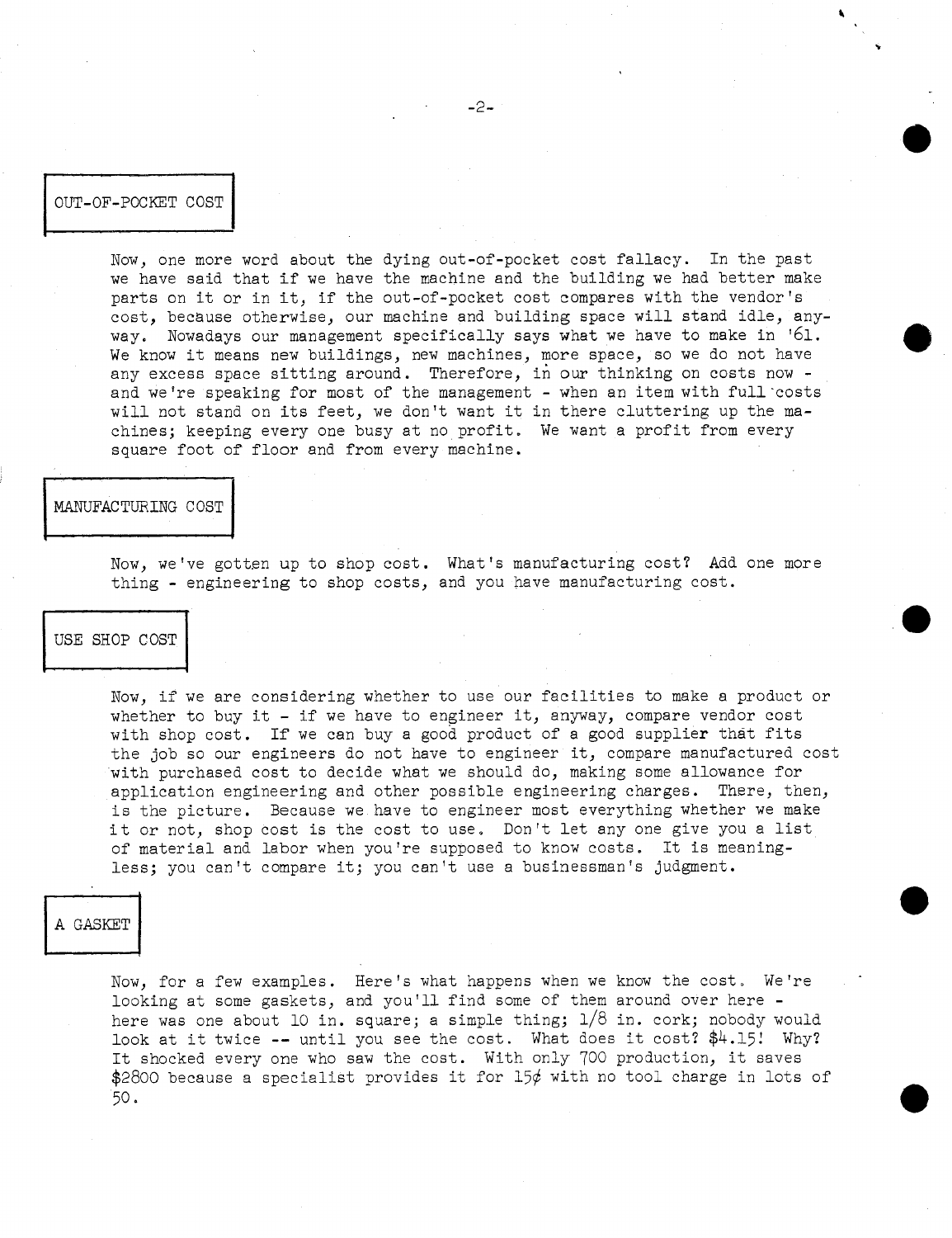OUT-OF-POCKET COST

Now, one more word about the dying out-of-pocket cost fallacy. In the past we have said that if we have the machine and the building we had better make parts on it or in it, if the out-of-pocket cost compares with the vendor's cost, because otherwise, our machine and building space will stand idle, anyway. Nowadays our management specifically says what we have to make in '61. We know it means new buildings, new machines, more space, so we do not have any excess space sitting around. Therefore, in our thinking on costs now and we're speaking for most of the management - when an item with full costs and we it speaking for most of the management - when an foem wron furt cost chines; keeping every one busy at no profit. We want a profit from every square foot of floor and from every machine. CORRECTED CORRECTED AND the set of the set of the set of the set of the set of the set of the set of the set of the set of the set of the set of the set of the set of the set of the set of the set of the set of the set of 072-03-POOKET COST<br>
New, one means and shout the dying out-of-pooket oset<br>
we means and thost if we have the can exchange our moments of the base<br>
very. Bowedney our monagement specifically says were<br>
very. Bowedney our mo

Now, we've gotten up to shop cost. What's manufacturing cost? Add one more thing - engineering to shop costs, and you have manufacturing cost.

### USE SHOP COST

Now, if we are considering whether to use our facilities to make a product or whether to buy it - if we have to engineer it, anyway, compare vendor cost with shop cost. If we can buy a good product of a good supplier that fits the job so our engineers do not have to engineer it, compare manufactured cost with purchased cost to decide what we should do, making some allowance for application engineering and other possible engineering charges. There, then, is the picture. Because we have to engineer most everything whether we make it or not, shop cost is the cost to use. Don't let any one give you a list of material and labor when you're supposed to know costs. It is meaningless; you can't compare it; you can't use a businessman's judgment.

Now, for a few examples. Here's what happens when we know the cost. We're looking at some gaskets, and you'll find some of them around over here here was one about 10 in. square; a simple thing;  $1/8$  in. cork; nobody would look at it twice  $-$ - until you see the cost. What does it cost?  $$4.15$ ! Why? It shocked every one who saw the cost. With only 700 production, it saves \$2800 because a specialist provides it for  $15¢$  with no tool charge in lots of 50 **a**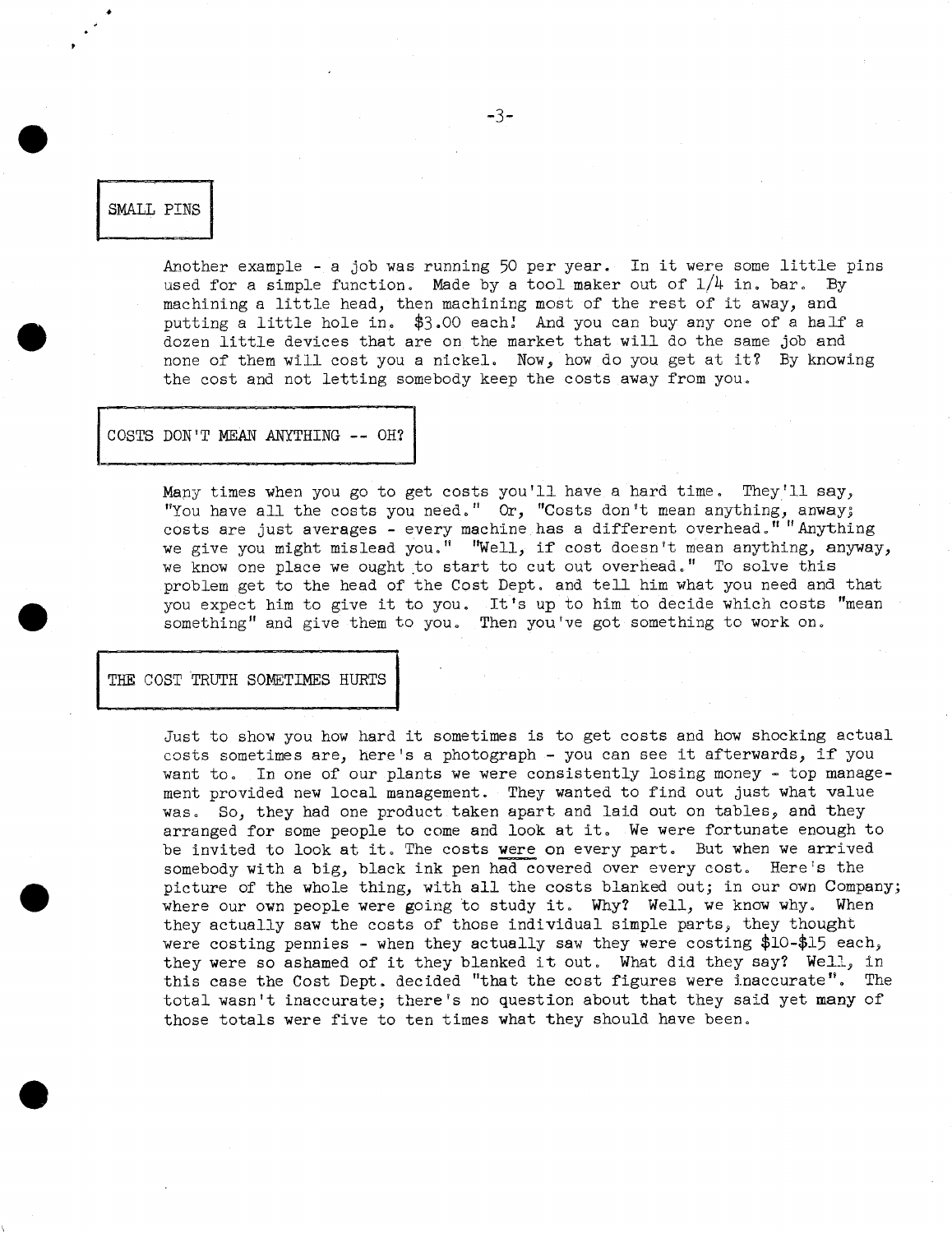## **SMALL PINS**

Another example - a job was running 50 per year. In it were some little pins used for a simple function. Made by a tool maker out of  $1/4$  in. bar. By machining a little head, then machining most of the rest of it away, and putting a little hole in. \$3.00 each: And you can buy any one of a half a dozen little devices that are on the market that will do the same job and none of them will cost you a nickel, Now, how do you get at it7 By knowing the cost and not letting somebody keep the costs away from you,

COSTS DON'T MEAN ANYTHING -- OH?

Many times when you go to get costs you'll have a hard time. They'll say, "You have all the costs you need." Or, "Costs don't mean anything, anway; costs are just averages - every machine has a different overhead." "Anything we give you might mislead you." "Well, if cost doesn't mean anything, anyway, we know one place we ought to start to cut out overhead." To solve this problem get to the head of the Cost Dept. and tell him what you need and that you expect him to give it to you, It's up to him to decide which costs "mean something" and give them to you. Then you've got something to work on.

THE COST TRUTH SOMETIMES HURTS

Just to show you how hard it sometimes is to get costs and how shocking actual costs sometimes are, here's a photograph - you can see it afterwards, if you want to. In one of our plants we were consistently losing money - top management provided new local management. They wanted to find out just what value was. So, they had one product taken apart and laid out on tables, and they was. Bo, they had the product taken apart and faid the case of assists, and they arranged for some people to come and look at it. We were fortunate enough to costs sometimes are, here's a photograph - you can see it afterwards, if you<br>want to. In one of our plants we were consistently losing money - top manage<br>ment provided new local management. They wanted to find out just wha somebody with a big, black ink pen had covered over every cost. Here's the picture of the whole thing, with all the costs blanked out; in our own Company; where our own people were going to study it. Why? Well, we know why. When they actually saw the costs of those individual simple parts, they thought were costing pennies - when they actually saw they were costing \$10-\$15 each, they were so ashamed of it they blanked it out. What did they say? **Well,** in this case the Cost Dept. decided "that the cost figures were inaccurate". The total wasn't inaccurate; there's no question about that they said yet many of those totals were five to ten times what they should have been.